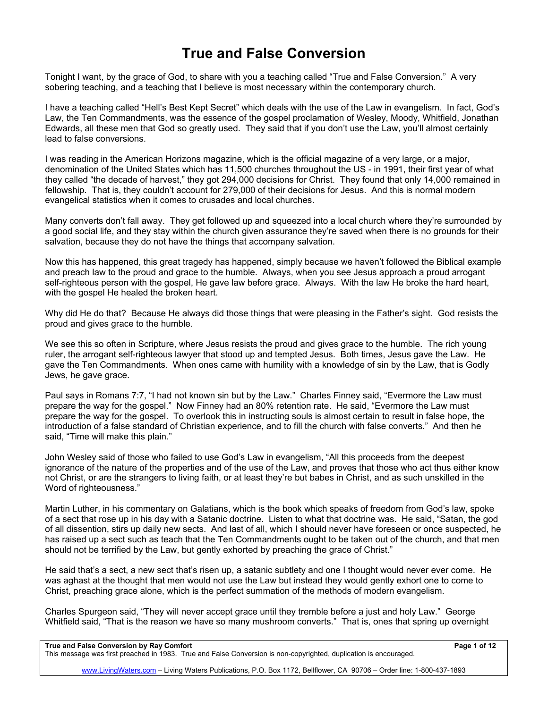## **True and False Conversion**

Tonight I want, by the grace of God, to share with you a teaching called "True and False Conversion." A very sobering teaching, and a teaching that I believe is most necessary within the contemporary church.

I have a teaching called "Hell's Best Kept Secret" which deals with the use of the Law in evangelism. In fact, God's Law, the Ten Commandments, was the essence of the gospel proclamation of Wesley, Moody, Whitfield, Jonathan Edwards, all these men that God so greatly used. They said that if you don't use the Law, you'll almost certainly lead to false conversions.

I was reading in the American Horizons magazine, which is the official magazine of a very large, or a major, denomination of the United States which has 11,500 churches throughout the US - in 1991, their first year of what they called "the decade of harvest," they got 294,000 decisions for Christ. They found that only 14,000 remained in fellowship. That is, they couldn't account for 279,000 of their decisions for Jesus. And this is normal modern evangelical statistics when it comes to crusades and local churches.

Many converts don't fall away. They get followed up and squeezed into a local church where they're surrounded by a good social life, and they stay within the church given assurance they're saved when there is no grounds for their salvation, because they do not have the things that accompany salvation.

Now this has happened, this great tragedy has happened, simply because we haven't followed the Biblical example and preach law to the proud and grace to the humble. Always, when you see Jesus approach a proud arrogant self-righteous person with the gospel, He gave law before grace. Always. With the law He broke the hard heart, with the gospel He healed the broken heart.

Why did He do that? Because He always did those things that were pleasing in the Father's sight. God resists the proud and gives grace to the humble.

We see this so often in Scripture, where Jesus resists the proud and gives grace to the humble. The rich young ruler, the arrogant self-righteous lawyer that stood up and tempted Jesus. Both times, Jesus gave the Law. He gave the Ten Commandments. When ones came with humility with a knowledge of sin by the Law, that is Godly Jews, he gave grace.

Paul says in Romans 7:7, "I had not known sin but by the Law." Charles Finney said, "Evermore the Law must prepare the way for the gospel." Now Finney had an 80% retention rate. He said, "Evermore the Law must prepare the way for the gospel. To overlook this in instructing souls is almost certain to result in false hope, the introduction of a false standard of Christian experience, and to fill the church with false converts." And then he said, "Time will make this plain."

John Wesley said of those who failed to use God's Law in evangelism, "All this proceeds from the deepest ignorance of the nature of the properties and of the use of the Law, and proves that those who act thus either know not Christ, or are the strangers to living faith, or at least they're but babes in Christ, and as such unskilled in the Word of righteousness."

Martin Luther, in his commentary on Galatians, which is the book which speaks of freedom from God's law, spoke of a sect that rose up in his day with a Satanic doctrine. Listen to what that doctrine was. He said, "Satan, the god of all dissention, stirs up daily new sects. And last of all, which I should never have foreseen or once suspected, he has raised up a sect such as teach that the Ten Commandments ought to be taken out of the church, and that men should not be terrified by the Law, but gently exhorted by preaching the grace of Christ."

He said that's a sect, a new sect that's risen up, a satanic subtlety and one I thought would never ever come. He was aghast at the thought that men would not use the Law but instead they would gently exhort one to come to Christ, preaching grace alone, which is the perfect summation of the methods of modern evangelism.

Charles Spurgeon said, "They will never accept grace until they tremble before a just and holy Law." George Whitfield said, "That is the reason we have so many mushroom converts." That is, ones that spring up overnight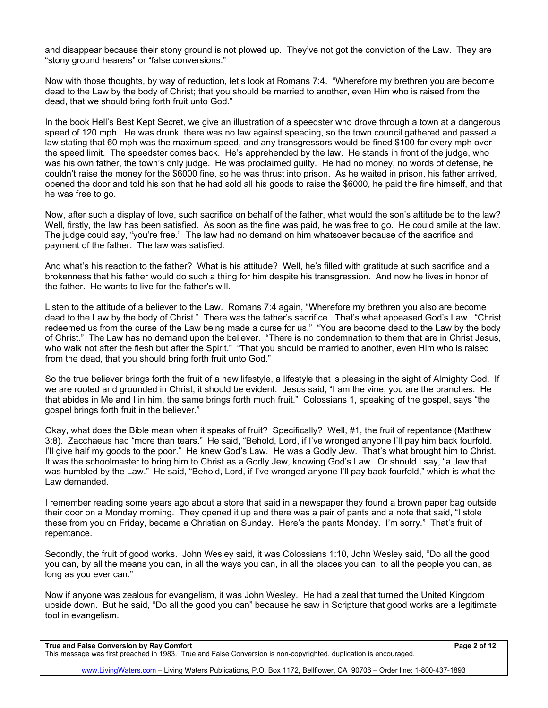and disappear because their stony ground is not plowed up. They've not got the conviction of the Law. They are "stony ground hearers" or "false conversions."

Now with those thoughts, by way of reduction, let's look at Romans 7:4. "Wherefore my brethren you are become dead to the Law by the body of Christ; that you should be married to another, even Him who is raised from the dead, that we should bring forth fruit unto God."

In the book Hell's Best Kept Secret, we give an illustration of a speedster who drove through a town at a dangerous speed of 120 mph. He was drunk, there was no law against speeding, so the town council gathered and passed a law stating that 60 mph was the maximum speed, and any transgressors would be fined \$100 for every mph over the speed limit. The speedster comes back. He's apprehended by the law. He stands in front of the judge, who was his own father, the town's only judge. He was proclaimed guilty. He had no money, no words of defense, he couldn't raise the money for the \$6000 fine, so he was thrust into prison. As he waited in prison, his father arrived, opened the door and told his son that he had sold all his goods to raise the \$6000, he paid the fine himself, and that he was free to go.

Now, after such a display of love, such sacrifice on behalf of the father, what would the son's attitude be to the law? Well, firstly, the law has been satisfied. As soon as the fine was paid, he was free to go. He could smile at the law. The judge could say, "you're free." The law had no demand on him whatsoever because of the sacrifice and payment of the father. The law was satisfied.

And what's his reaction to the father? What is his attitude? Well, he's filled with gratitude at such sacrifice and a brokenness that his father would do such a thing for him despite his transgression. And now he lives in honor of the father. He wants to live for the father's will.

Listen to the attitude of a believer to the Law. Romans 7:4 again, "Wherefore my brethren you also are become dead to the Law by the body of Christ." There was the father's sacrifice. That's what appeased God's Law. "Christ redeemed us from the curse of the Law being made a curse for us." "You are become dead to the Law by the body of Christ." The Law has no demand upon the believer. "There is no condemnation to them that are in Christ Jesus, who walk not after the flesh but after the Spirit." "That you should be married to another, even Him who is raised from the dead, that you should bring forth fruit unto God."

So the true believer brings forth the fruit of a new lifestyle, a lifestyle that is pleasing in the sight of Almighty God. If we are rooted and grounded in Christ, it should be evident. Jesus said, "I am the vine, you are the branches. He that abides in Me and I in him, the same brings forth much fruit." Colossians 1, speaking of the gospel, says "the gospel brings forth fruit in the believer."

Okay, what does the Bible mean when it speaks of fruit? Specifically? Well, #1, the fruit of repentance (Matthew 3:8). Zacchaeus had "more than tears." He said, "Behold, Lord, if I've wronged anyone I'll pay him back fourfold. I'll give half my goods to the poor." He knew God's Law. He was a Godly Jew. That's what brought him to Christ. It was the schoolmaster to bring him to Christ as a Godly Jew, knowing God's Law. Or should I say, "a Jew that was humbled by the Law." He said, "Behold, Lord, if I've wronged anyone I'll pay back fourfold," which is what the Law demanded.

I remember reading some years ago about a store that said in a newspaper they found a brown paper bag outside their door on a Monday morning. They opened it up and there was a pair of pants and a note that said, "I stole these from you on Friday, became a Christian on Sunday. Here's the pants Monday. I'm sorry." That's fruit of repentance.

Secondly, the fruit of good works. John Wesley said, it was Colossians 1:10, John Wesley said, "Do all the good you can, by all the means you can, in all the ways you can, in all the places you can, to all the people you can, as long as you ever can."

Now if anyone was zealous for evangelism, it was John Wesley. He had a zeal that turned the United Kingdom upside down. But he said, "Do all the good you can" because he saw in Scripture that good works are a legitimate tool in evangelism.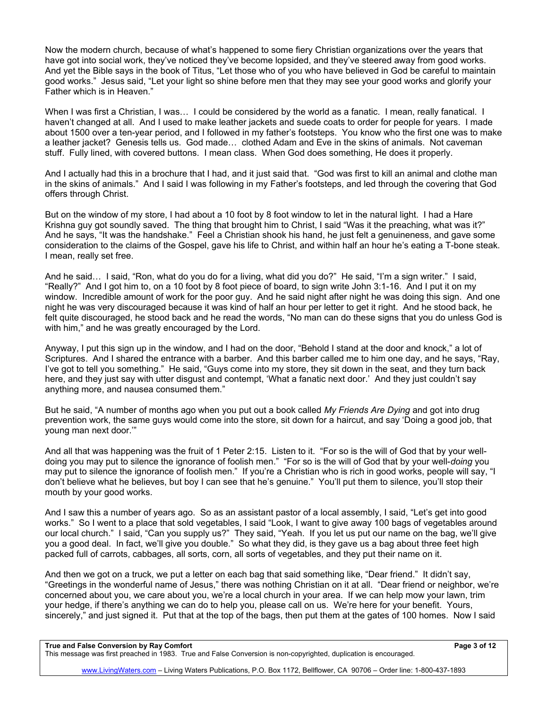Now the modern church, because of what's happened to some fiery Christian organizations over the years that have got into social work, they've noticed they've become lopsided, and they've steered away from good works. And yet the Bible says in the book of Titus, "Let those who of you who have believed in God be careful to maintain good works." Jesus said, "Let your light so shine before men that they may see your good works and glorify your Father which is in Heaven."

When I was first a Christian, I was... I could be considered by the world as a fanatic. I mean, really fanatical. I haven't changed at all. And I used to make leather jackets and suede coats to order for people for years. I made about 1500 over a ten-year period, and I followed in my father's footsteps. You know who the first one was to make a leather jacket? Genesis tells us. God made... clothed Adam and Eve in the skins of animals. Not caveman stuff. Fully lined, with covered buttons. I mean class. When God does something, He does it properly.

And I actually had this in a brochure that I had, and it just said that. "God was first to kill an animal and clothe man in the skins of animals." And I said I was following in my Father's footsteps, and led through the covering that God offers through Christ.

But on the window of my store, I had about a 10 foot by 8 foot window to let in the natural light. I had a Hare Krishna guy got soundly saved. The thing that brought him to Christ, I said "Was it the preaching, what was it?" And he says, "It was the handshake." Feel a Christian shook his hand, he just felt a genuineness, and gave some consideration to the claims of the Gospel, gave his life to Christ, and within half an hour he's eating a T-bone steak. I mean, really set free.

And he said… I said, "Ron, what do you do for a living, what did you do?" He said, "I'm a sign writer." I said, "Really?" And I got him to, on a 10 foot by 8 foot piece of board, to sign write John 3:1-16. And I put it on my window. Incredible amount of work for the poor guy. And he said night after night he was doing this sign. And one night he was very discouraged because it was kind of half an hour per letter to get it right. And he stood back, he felt quite discouraged, he stood back and he read the words, "No man can do these signs that you do unless God is with him," and he was greatly encouraged by the Lord.

Anyway, I put this sign up in the window, and I had on the door, "Behold I stand at the door and knock," a lot of Scriptures. And I shared the entrance with a barber. And this barber called me to him one day, and he says, "Ray, I've got to tell you something." He said, "Guys come into my store, they sit down in the seat, and they turn back here, and they just say with utter disgust and contempt, 'What a fanatic next door.' And they just couldn't say anything more, and nausea consumed them."

But he said, "A number of months ago when you put out a book called *My Friends Are Dying* and got into drug prevention work, the same guys would come into the store, sit down for a haircut, and say 'Doing a good job, that young man next door.'"

And all that was happening was the fruit of 1 Peter 2:15. Listen to it. "For so is the will of God that by your welldoing you may put to silence the ignorance of foolish men." "For so is the will of God that by your well-*doing* you may put to silence the ignorance of foolish men." If you're a Christian who is rich in good works, people will say, "I don't believe what he believes, but boy I can see that he's genuine." You'll put them to silence, you'll stop their mouth by your good works.

And I saw this a number of years ago. So as an assistant pastor of a local assembly, I said, "Let's get into good works." So I went to a place that sold vegetables, I said "Look, I want to give away 100 bags of vegetables around our local church." I said, "Can you supply us?" They said, "Yeah. If you let us put our name on the bag, we'll give you a good deal. In fact, we'll give you double." So what they did, is they gave us a bag about three feet high packed full of carrots, cabbages, all sorts, corn, all sorts of vegetables, and they put their name on it.

And then we got on a truck, we put a letter on each bag that said something like, "Dear friend." It didn't say, "Greetings in the wonderful name of Jesus," there was nothing Christian on it at all. "Dear friend or neighbor, we're concerned about you, we care about you, we're a local church in your area. If we can help mow your lawn, trim your hedge, if there's anything we can do to help you, please call on us. We're here for your benefit. Yours, sincerely," and just signed it. Put that at the top of the bags, then put them at the gates of 100 homes. Now I said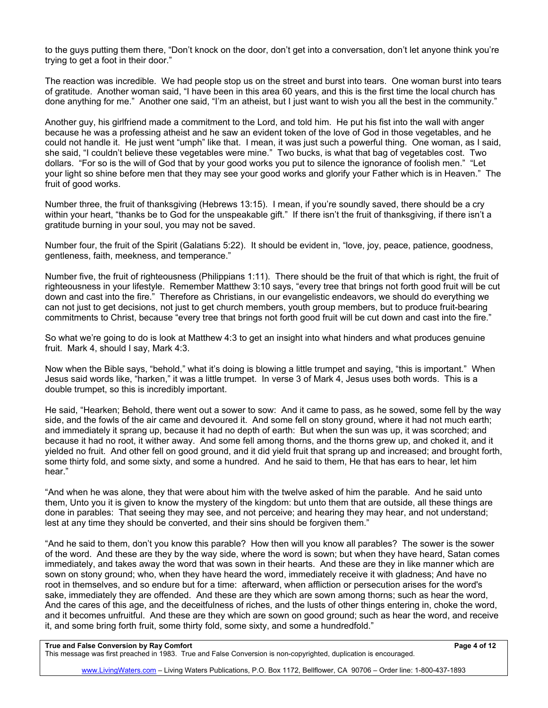to the guys putting them there, "Don't knock on the door, don't get into a conversation, don't let anyone think you're trying to get a foot in their door."

The reaction was incredible. We had people stop us on the street and burst into tears. One woman burst into tears of gratitude. Another woman said, "I have been in this area 60 years, and this is the first time the local church has done anything for me." Another one said, "I'm an atheist, but I just want to wish you all the best in the community."

Another guy, his girlfriend made a commitment to the Lord, and told him. He put his fist into the wall with anger because he was a professing atheist and he saw an evident token of the love of God in those vegetables, and he could not handle it. He just went "umph" like that. I mean, it was just such a powerful thing. One woman, as I said, she said, "I couldn't believe these vegetables were mine." Two bucks, is what that bag of vegetables cost. Two dollars. "For so is the will of God that by your good works you put to silence the ignorance of foolish men." "Let your light so shine before men that they may see your good works and glorify your Father which is in Heaven." The fruit of good works.

Number three, the fruit of thanksgiving (Hebrews 13:15). I mean, if you're soundly saved, there should be a cry within your heart, "thanks be to God for the unspeakable gift." If there isn't the fruit of thanksgiving, if there isn't a gratitude burning in your soul, you may not be saved.

Number four, the fruit of the Spirit (Galatians 5:22). It should be evident in, "love, joy, peace, patience, goodness, gentleness, faith, meekness, and temperance."

Number five, the fruit of righteousness (Philippians 1:11). There should be the fruit of that which is right, the fruit of righteousness in your lifestyle. Remember Matthew 3:10 says, "every tree that brings not forth good fruit will be cut down and cast into the fire." Therefore as Christians, in our evangelistic endeavors, we should do everything we can not just to get decisions, not just to get church members, youth group members, but to produce fruit-bearing commitments to Christ, because "every tree that brings not forth good fruit will be cut down and cast into the fire."

So what we're going to do is look at Matthew 4:3 to get an insight into what hinders and what produces genuine fruit. Mark 4, should I say, Mark 4:3.

Now when the Bible says, "behold," what it's doing is blowing a little trumpet and saying, "this is important." When Jesus said words like, "harken," it was a little trumpet. In verse 3 of Mark 4, Jesus uses both words. This is a double trumpet, so this is incredibly important.

He said, "Hearken; Behold, there went out a sower to sow: And it came to pass, as he sowed, some fell by the way side, and the fowls of the air came and devoured it. And some fell on stony ground, where it had not much earth; and immediately it sprang up, because it had no depth of earth: But when the sun was up, it was scorched; and because it had no root, it wither away. And some fell among thorns, and the thorns grew up, and choked it, and it yielded no fruit. And other fell on good ground, and it did yield fruit that sprang up and increased; and brought forth, some thirty fold, and some sixty, and some a hundred. And he said to them, He that has ears to hear, let him hear."

"And when he was alone, they that were about him with the twelve asked of him the parable. And he said unto them, Unto you it is given to know the mystery of the kingdom: but unto them that are outside, all these things are done in parables: That seeing they may see, and not perceive; and hearing they may hear, and not understand; lest at any time they should be converted, and their sins should be forgiven them."

"And he said to them, don't you know this parable? How then will you know all parables? The sower is the sower of the word. And these are they by the way side, where the word is sown; but when they have heard, Satan comes immediately, and takes away the word that was sown in their hearts. And these are they in like manner which are sown on stony ground; who, when they have heard the word, immediately receive it with gladness; And have no root in themselves, and so endure but for a time: afterward, when affliction or persecution arises for the word's sake, immediately they are offended. And these are they which are sown among thorns; such as hear the word, And the cares of this age, and the deceitfulness of riches, and the lusts of other things entering in, choke the word, and it becomes unfruitful. And these are they which are sown on good ground; such as hear the word, and receive it, and some bring forth fruit, some thirty fold, some sixty, and some a hundredfold."

## **True and False Conversion by Ray Comfort Page 4 of 12**

This message was first preached in 1983. True and False Conversion is non-copyrighted, duplication is encouraged.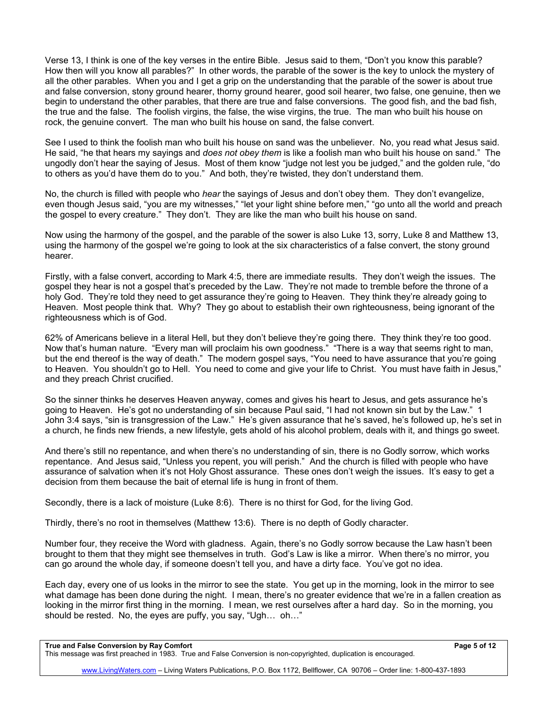Verse 13, I think is one of the key verses in the entire Bible. Jesus said to them, "Don't you know this parable? How then will you know all parables?" In other words, the parable of the sower is the key to unlock the mystery of all the other parables. When you and I get a grip on the understanding that the parable of the sower is about true and false conversion, stony ground hearer, thorny ground hearer, good soil hearer, two false, one genuine, then we begin to understand the other parables, that there are true and false conversions. The good fish, and the bad fish, the true and the false. The foolish virgins, the false, the wise virgins, the true. The man who built his house on rock, the genuine convert. The man who built his house on sand, the false convert.

See I used to think the foolish man who built his house on sand was the unbeliever. No, you read what Jesus said. He said, "he that hears my sayings and *does not obey them* is like a foolish man who built his house on sand." The ungodly don't hear the saying of Jesus. Most of them know "judge not lest you be judged," and the golden rule, "do to others as you'd have them do to you." And both, they're twisted, they don't understand them.

No, the church is filled with people who *hear* the sayings of Jesus and don't obey them. They don't evangelize, even though Jesus said, "you are my witnesses," "let your light shine before men," "go unto all the world and preach the gospel to every creature." They don't. They are like the man who built his house on sand.

Now using the harmony of the gospel, and the parable of the sower is also Luke 13, sorry, Luke 8 and Matthew 13, using the harmony of the gospel we're going to look at the six characteristics of a false convert, the stony ground hearer.

Firstly, with a false convert, according to Mark 4:5, there are immediate results. They don't weigh the issues. The gospel they hear is not a gospel that's preceded by the Law. They're not made to tremble before the throne of a holy God. They're told they need to get assurance they're going to Heaven. They think they're already going to Heaven. Most people think that. Why? They go about to establish their own righteousness, being ignorant of the righteousness which is of God.

62% of Americans believe in a literal Hell, but they don't believe they're going there. They think they're too good. Now that's human nature. "Every man will proclaim his own goodness." "There is a way that seems right to man, but the end thereof is the way of death." The modern gospel says, "You need to have assurance that you're going to Heaven. You shouldn't go to Hell. You need to come and give your life to Christ. You must have faith in Jesus," and they preach Christ crucified.

So the sinner thinks he deserves Heaven anyway, comes and gives his heart to Jesus, and gets assurance he's going to Heaven. He's got no understanding of sin because Paul said, "I had not known sin but by the Law." 1 John 3:4 says, "sin is transgression of the Law." He's given assurance that he's saved, he's followed up, he's set in a church, he finds new friends, a new lifestyle, gets ahold of his alcohol problem, deals with it, and things go sweet.

And there's still no repentance, and when there's no understanding of sin, there is no Godly sorrow, which works repentance. And Jesus said, "Unless you repent, you will perish." And the church is filled with people who have assurance of salvation when it's not Holy Ghost assurance. These ones don't weigh the issues. It's easy to get a decision from them because the bait of eternal life is hung in front of them.

Secondly, there is a lack of moisture (Luke 8:6). There is no thirst for God, for the living God.

Thirdly, there's no root in themselves (Matthew 13:6). There is no depth of Godly character.

Number four, they receive the Word with gladness. Again, there's no Godly sorrow because the Law hasn't been brought to them that they might see themselves in truth. God's Law is like a mirror. When there's no mirror, you can go around the whole day, if someone doesn't tell you, and have a dirty face. You've got no idea.

Each day, every one of us looks in the mirror to see the state. You get up in the morning, look in the mirror to see what damage has been done during the night. I mean, there's no greater evidence that we're in a fallen creation as looking in the mirror first thing in the morning. I mean, we rest ourselves after a hard day. So in the morning, you should be rested. No, the eyes are puffy, you say, "Ugh… oh…"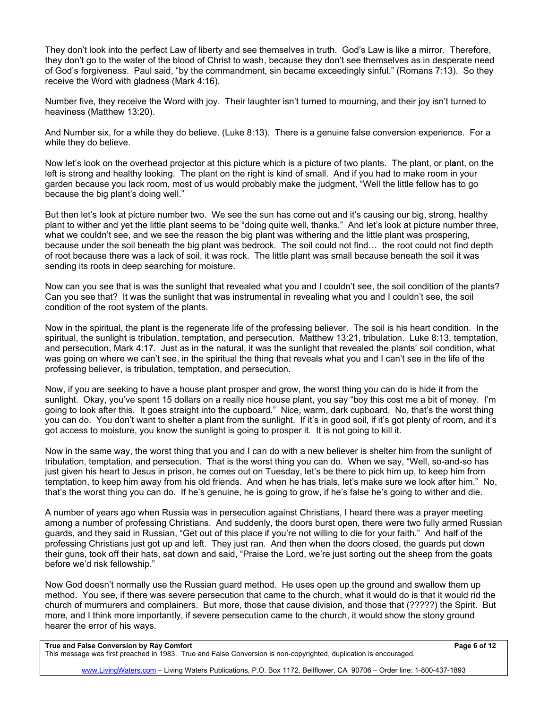They don't look into the perfect Law of liberty and see themselves in truth. God's Law is like a mirror. Therefore, they don't go to the water of the blood of Christ to wash, because they don't see themselves as in desperate need of God's forgiveness. Paul said, "by the commandment, sin became exceedingly sinful." (Romans 7:13). So they receive the Word with gladness (Mark 4:16).

Number five, they receive the Word with joy. Their laughter isn't turned to mourning, and their joy isn't turned to heaviness (Matthew 13:20).

And Number six, for a while they do believe. (Luke 8:13). There is a genuine false conversion experience. For a while they do believe.

Now let's look on the overhead projector at this picture which is a picture of two plants. The plant, or pl**a**nt, on the left is strong and healthy looking. The plant on the right is kind of small. And if you had to make room in your garden because you lack room, most of us would probably make the judgment, "Well the little fellow has to go because the big plant's doing well."

But then let's look at picture number two. We see the sun has come out and it's causing our big, strong, healthy plant to wither and yet the little plant seems to be "doing quite well, thanks." And let's look at picture number three, what we couldn't see, and we see the reason the big plant was withering and the little plant was prospering, because under the soil beneath the big plant was bedrock. The soil could not find… the root could not find depth of root because there was a lack of soil, it was rock. The little plant was small because beneath the soil it was sending its roots in deep searching for moisture.

Now can you see that is was the sunlight that revealed what you and I couldn't see, the soil condition of the plants? Can you see that? It was the sunlight that was instrumental in revealing what you and I couldn't see, the soil condition of the root system of the plants.

Now in the spiritual, the plant is the regenerate life of the professing believer. The soil is his heart condition. In the spiritual, the sunlight is tribulation, temptation, and persecution. Matthew 13:21, tribulation. Luke 8:13, temptation, and persecution, Mark 4:17. Just as in the natural, it was the sunlight that revealed the plants' soil condition, what was going on where we can't see, in the spiritual the thing that reveals what you and I can't see in the life of the professing believer, is tribulation, temptation, and persecution.

Now, if you are seeking to have a house plant prosper and grow, the worst thing you can do is hide it from the sunlight. Okay, you've spent 15 dollars on a really nice house plant, you say "boy this cost me a bit of money. I'm going to look after this. It goes straight into the cupboard." Nice, warm, dark cupboard. No, that's the worst thing you can do. You don't want to shelter a plant from the sunlight. If it's in good soil, if it's got plenty of room, and it's got access to moisture, you know the sunlight is going to prosper it. It is not going to kill it.

Now in the same way, the worst thing that you and I can do with a new believer is shelter him from the sunlight of tribulation, temptation, and persecution. That is the worst thing you can do. When we say, "Well, so-and-so has just given his heart to Jesus in prison, he comes out on Tuesday, let's be there to pick him up, to keep him from temptation, to keep him away from his old friends. And when he has trials, let's make sure we look after him." No, that's the worst thing you can do. If he's genuine, he is going to grow, if he's false he's going to wither and die.

A number of years ago when Russia was in persecution against Christians, I heard there was a prayer meeting among a number of professing Christians. And suddenly, the doors burst open, there were two fully armed Russian guards, and they said in Russian, "Get out of this place if you're not willing to die for your faith." And half of the professing Christians just got up and left. They just ran. And then when the doors closed, the guards put down their guns, took off their hats, sat down and said, "Praise the Lord, we're just sorting out the sheep from the goats before we'd risk fellowship."

Now God doesn't normally use the Russian guard method. He uses open up the ground and swallow them up method. You see, if there was severe persecution that came to the church, what it would do is that it would rid the church of murmurers and complainers. But more, those that cause division, and those that (?????) the Spirit. But more, and I think more importantly, if severe persecution came to the church, it would show the stony ground hearer the error of his ways.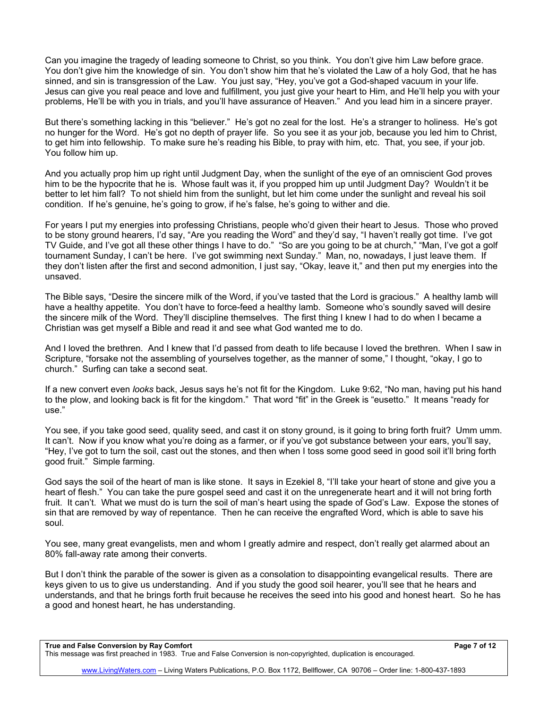Can you imagine the tragedy of leading someone to Christ, so you think. You don't give him Law before grace. You don't give him the knowledge of sin. You don't show him that he's violated the Law of a holy God, that he has sinned, and sin is transgression of the Law. You just say, "Hey, you've got a God-shaped vacuum in your life. Jesus can give you real peace and love and fulfillment, you just give your heart to Him, and He'll help you with your problems, He'll be with you in trials, and you'll have assurance of Heaven." And you lead him in a sincere prayer.

But there's something lacking in this "believer." He's got no zeal for the lost. He's a stranger to holiness. He's got no hunger for the Word. He's got no depth of prayer life. So you see it as your job, because you led him to Christ, to get him into fellowship. To make sure he's reading his Bible, to pray with him, etc. That, you see, if your job. You follow him up.

And you actually prop him up right until Judgment Day, when the sunlight of the eye of an omniscient God proves him to be the hypocrite that he is. Whose fault was it, if you propped him up until Judgment Day? Wouldn't it be better to let him fall? To not shield him from the sunlight, but let him come under the sunlight and reveal his soil condition. If he's genuine, he's going to grow, if he's false, he's going to wither and die.

For years I put my energies into professing Christians, people who'd given their heart to Jesus. Those who proved to be stony ground hearers, I'd say, "Are you reading the Word" and they'd say, "I haven't really got time. I've got TV Guide, and I've got all these other things I have to do." "So are you going to be at church," "Man, I've got a golf tournament Sunday, I can't be here. I've got swimming next Sunday." Man, no, nowadays, I just leave them. If they don't listen after the first and second admonition, I just say, "Okay, leave it," and then put my energies into the unsaved.

The Bible says, "Desire the sincere milk of the Word, if you've tasted that the Lord is gracious." A healthy lamb will have a healthy appetite. You don't have to force-feed a healthy lamb. Someone who's soundly saved will desire the sincere milk of the Word. They'll discipline themselves. The first thing I knew I had to do when I became a Christian was get myself a Bible and read it and see what God wanted me to do.

And I loved the brethren. And I knew that I'd passed from death to life because I loved the brethren. When I saw in Scripture, "forsake not the assembling of yourselves together, as the manner of some," I thought, "okay, I go to church." Surfing can take a second seat.

If a new convert even *looks* back, Jesus says he's not fit for the Kingdom. Luke 9:62, "No man, having put his hand to the plow, and looking back is fit for the kingdom." That word "fit" in the Greek is "eusetto." It means "ready for use."

You see, if you take good seed, quality seed, and cast it on stony ground, is it going to bring forth fruit? Umm umm. It can't. Now if you know what you're doing as a farmer, or if you've got substance between your ears, you'll say, "Hey, I've got to turn the soil, cast out the stones, and then when I toss some good seed in good soil it'll bring forth good fruit." Simple farming.

God says the soil of the heart of man is like stone. It says in Ezekiel 8, "I'll take your heart of stone and give you a heart of flesh." You can take the pure gospel seed and cast it on the unregenerate heart and it will not bring forth fruit. It can't. What we must do is turn the soil of man's heart using the spade of God's Law. Expose the stones of sin that are removed by way of repentance. Then he can receive the engrafted Word, which is able to save his soul.

You see, many great evangelists, men and whom I greatly admire and respect, don't really get alarmed about an 80% fall-away rate among their converts.

But I don't think the parable of the sower is given as a consolation to disappointing evangelical results. There are keys given to us to give us understanding. And if you study the good soil hearer, you'll see that he hears and understands, and that he brings forth fruit because he receives the seed into his good and honest heart. So he has a good and honest heart, he has understanding.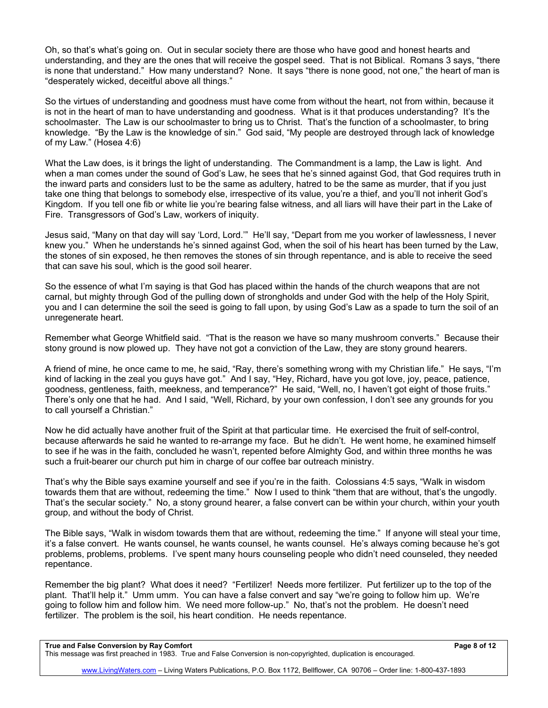Oh, so that's what's going on. Out in secular society there are those who have good and honest hearts and understanding, and they are the ones that will receive the gospel seed. That is not Biblical. Romans 3 says, "there is none that understand." How many understand? None. It says "there is none good, not one," the heart of man is "desperately wicked, deceitful above all things."

So the virtues of understanding and goodness must have come from without the heart, not from within, because it is not in the heart of man to have understanding and goodness. What is it that produces understanding? It's the schoolmaster. The Law is our schoolmaster to bring us to Christ. That's the function of a schoolmaster, to bring knowledge. "By the Law is the knowledge of sin." God said, "My people are destroyed through lack of knowledge of my Law." (Hosea 4:6)

What the Law does, is it brings the light of understanding. The Commandment is a lamp, the Law is light. And when a man comes under the sound of God's Law, he sees that he's sinned against God, that God requires truth in the inward parts and considers lust to be the same as adultery, hatred to be the same as murder, that if you just take one thing that belongs to somebody else, irrespective of its value, you're a thief, and you'll not inherit God's Kingdom. If you tell one fib or white lie you're bearing false witness, and all liars will have their part in the Lake of Fire. Transgressors of God's Law, workers of iniquity.

Jesus said, "Many on that day will say 'Lord, Lord.'" He'll say, "Depart from me you worker of lawlessness, I never knew you." When he understands he's sinned against God, when the soil of his heart has been turned by the Law, the stones of sin exposed, he then removes the stones of sin through repentance, and is able to receive the seed that can save his soul, which is the good soil hearer.

So the essence of what I'm saying is that God has placed within the hands of the church weapons that are not carnal, but mighty through God of the pulling down of strongholds and under God with the help of the Holy Spirit, you and I can determine the soil the seed is going to fall upon, by using God's Law as a spade to turn the soil of an unregenerate heart.

Remember what George Whitfield said. "That is the reason we have so many mushroom converts." Because their stony ground is now plowed up. They have not got a conviction of the Law, they are stony ground hearers.

A friend of mine, he once came to me, he said, "Ray, there's something wrong with my Christian life." He says, "I'm kind of lacking in the zeal you guys have got." And I say, "Hey, Richard, have you got love, joy, peace, patience, goodness, gentleness, faith, meekness, and temperance?" He said, "Well, no, I haven't got eight of those fruits." There's only one that he had. And I said, "Well, Richard, by your own confession, I don't see any grounds for you to call yourself a Christian."

Now he did actually have another fruit of the Spirit at that particular time. He exercised the fruit of self-control, because afterwards he said he wanted to re-arrange my face. But he didn't. He went home, he examined himself to see if he was in the faith, concluded he wasn't, repented before Almighty God, and within three months he was such a fruit-bearer our church put him in charge of our coffee bar outreach ministry.

That's why the Bible says examine yourself and see if you're in the faith. Colossians 4:5 says, "Walk in wisdom towards them that are without, redeeming the time." Now I used to think "them that are without, that's the ungodly. That's the secular society." No, a stony ground hearer, a false convert can be within your church, within your youth group, and without the body of Christ.

The Bible says, "Walk in wisdom towards them that are without, redeeming the time." If anyone will steal your time, it's a false convert. He wants counsel, he wants counsel, he wants counsel. He's always coming because he's got problems, problems, problems. I've spent many hours counseling people who didn't need counseled, they needed repentance.

Remember the big plant? What does it need? "Fertilizer! Needs more fertilizer. Put fertilizer up to the top of the plant. That'll help it." Umm umm. You can have a false convert and say "we're going to follow him up. We're going to follow him and follow him. We need more follow-up." No, that's not the problem. He doesn't need fertilizer. The problem is the soil, his heart condition. He needs repentance.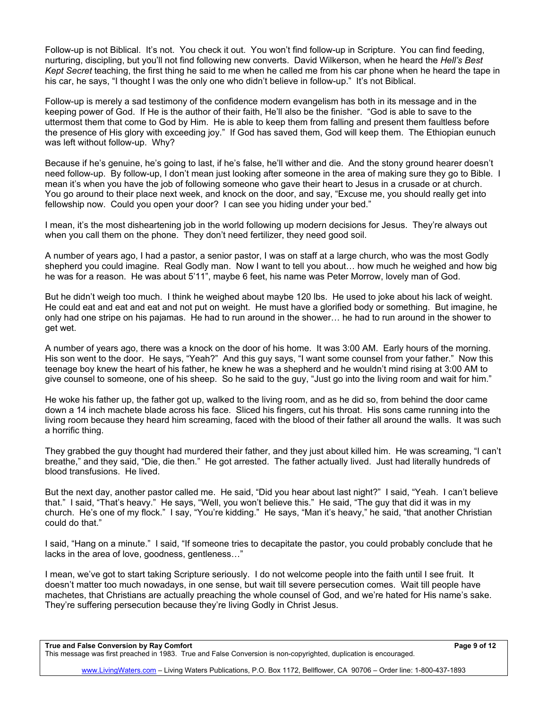Follow-up is not Biblical. It's not. You check it out. You won't find follow-up in Scripture. You can find feeding, nurturing, discipling, but you'll not find following new converts. David Wilkerson, when he heard the *Hell's Best Kept Secret* teaching, the first thing he said to me when he called me from his car phone when he heard the tape in his car, he says, "I thought I was the only one who didn't believe in follow-up." It's not Biblical.

Follow-up is merely a sad testimony of the confidence modern evangelism has both in its message and in the keeping power of God. If He is the author of their faith, He'll also be the finisher. "God is able to save to the uttermost them that come to God by Him. He is able to keep them from falling and present them faultless before the presence of His glory with exceeding joy." If God has saved them, God will keep them. The Ethiopian eunuch was left without follow-up. Why?

Because if he's genuine, he's going to last, if he's false, he'll wither and die. And the stony ground hearer doesn't need follow-up. By follow-up, I don't mean just looking after someone in the area of making sure they go to Bible. I mean it's when you have the job of following someone who gave their heart to Jesus in a crusade or at church. You go around to their place next week, and knock on the door, and say, "Excuse me, you should really get into fellowship now. Could you open your door? I can see you hiding under your bed."

I mean, it's the most disheartening job in the world following up modern decisions for Jesus. They're always out when you call them on the phone. They don't need fertilizer, they need good soil.

A number of years ago, I had a pastor, a senior pastor, I was on staff at a large church, who was the most Godly shepherd you could imagine. Real Godly man. Now I want to tell you about… how much he weighed and how big he was for a reason. He was about 5'11", maybe 6 feet, his name was Peter Morrow, lovely man of God.

But he didn't weigh too much. I think he weighed about maybe 120 lbs. He used to joke about his lack of weight. He could eat and eat and eat and not put on weight. He must have a glorified body or something. But imagine, he only had one stripe on his pajamas. He had to run around in the shower… he had to run around in the shower to get wet.

A number of years ago, there was a knock on the door of his home. It was 3:00 AM. Early hours of the morning. His son went to the door. He says, "Yeah?" And this guy says, "I want some counsel from your father." Now this teenage boy knew the heart of his father, he knew he was a shepherd and he wouldn't mind rising at 3:00 AM to give counsel to someone, one of his sheep. So he said to the guy, "Just go into the living room and wait for him."

He woke his father up, the father got up, walked to the living room, and as he did so, from behind the door came down a 14 inch machete blade across his face. Sliced his fingers, cut his throat. His sons came running into the living room because they heard him screaming, faced with the blood of their father all around the walls. It was such a horrific thing.

They grabbed the guy thought had murdered their father, and they just about killed him. He was screaming, "I can't breathe," and they said, "Die, die then." He got arrested. The father actually lived. Just had literally hundreds of blood transfusions. He lived.

But the next day, another pastor called me. He said, "Did you hear about last night?" I said, "Yeah. I can't believe that." I said, "That's heavy." He says, "Well, you won't believe this." He said, "The guy that did it was in my church. He's one of my flock." I say, "You're kidding." He says, "Man it's heavy," he said, "that another Christian could do that."

I said, "Hang on a minute." I said, "If someone tries to decapitate the pastor, you could probably conclude that he lacks in the area of love, goodness, gentleness…"

I mean, we've got to start taking Scripture seriously. I do not welcome people into the faith until I see fruit. It doesn't matter too much nowadays, in one sense, but wait till severe persecution comes. Wait till people have machetes, that Christians are actually preaching the whole counsel of God, and we're hated for His name's sake. They're suffering persecution because they're living Godly in Christ Jesus.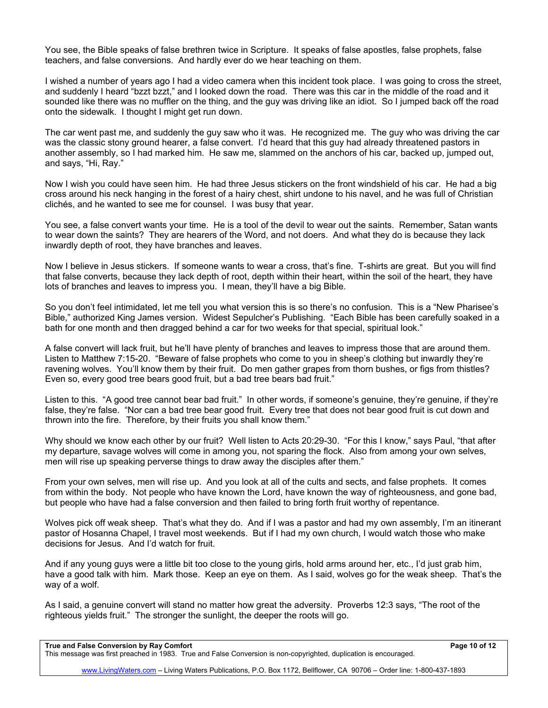You see, the Bible speaks of false brethren twice in Scripture. It speaks of false apostles, false prophets, false teachers, and false conversions. And hardly ever do we hear teaching on them.

I wished a number of years ago I had a video camera when this incident took place. I was going to cross the street, and suddenly I heard "bzzt bzzt," and I looked down the road. There was this car in the middle of the road and it sounded like there was no muffler on the thing, and the guy was driving like an idiot. So I jumped back off the road onto the sidewalk. I thought I might get run down.

The car went past me, and suddenly the guy saw who it was. He recognized me. The guy who was driving the car was the classic stony ground hearer, a false convert. I'd heard that this guy had already threatened pastors in another assembly, so I had marked him. He saw me, slammed on the anchors of his car, backed up, jumped out, and says, "Hi, Ray."

Now I wish you could have seen him. He had three Jesus stickers on the front windshield of his car. He had a big cross around his neck hanging in the forest of a hairy chest, shirt undone to his navel, and he was full of Christian clichés, and he wanted to see me for counsel. I was busy that year.

You see, a false convert wants your time. He is a tool of the devil to wear out the saints. Remember, Satan wants to wear down the saints? They are hearers of the Word, and not doers. And what they do is because they lack inwardly depth of root, they have branches and leaves.

Now I believe in Jesus stickers. If someone wants to wear a cross, that's fine. T-shirts are great. But you will find that false converts, because they lack depth of root, depth within their heart, within the soil of the heart, they have lots of branches and leaves to impress you. I mean, they'll have a big Bible.

So you don't feel intimidated, let me tell you what version this is so there's no confusion. This is a "New Pharisee's Bible," authorized King James version. Widest Sepulcher's Publishing. "Each Bible has been carefully soaked in a bath for one month and then dragged behind a car for two weeks for that special, spiritual look."

A false convert will lack fruit, but he'll have plenty of branches and leaves to impress those that are around them. Listen to Matthew 7:15-20. "Beware of false prophets who come to you in sheep's clothing but inwardly they're ravening wolves. You'll know them by their fruit. Do men gather grapes from thorn bushes, or figs from thistles? Even so, every good tree bears good fruit, but a bad tree bears bad fruit."

Listen to this. "A good tree cannot bear bad fruit." In other words, if someone's genuine, they're genuine, if they're false, they're false. "Nor can a bad tree bear good fruit. Every tree that does not bear good fruit is cut down and thrown into the fire. Therefore, by their fruits you shall know them."

Why should we know each other by our fruit? Well listen to Acts 20:29-30. "For this I know," says Paul, "that after my departure, savage wolves will come in among you, not sparing the flock. Also from among your own selves, men will rise up speaking perverse things to draw away the disciples after them."

From your own selves, men will rise up. And you look at all of the cults and sects, and false prophets. It comes from within the body. Not people who have known the Lord, have known the way of righteousness, and gone bad, but people who have had a false conversion and then failed to bring forth fruit worthy of repentance.

Wolves pick off weak sheep. That's what they do. And if I was a pastor and had my own assembly, I'm an itinerant pastor of Hosanna Chapel, I travel most weekends. But if I had my own church, I would watch those who make decisions for Jesus. And I'd watch for fruit.

And if any young guys were a little bit too close to the young girls, hold arms around her, etc., I'd just grab him, have a good talk with him. Mark those. Keep an eye on them. As I said, wolves go for the weak sheep. That's the way of a wolf.

As I said, a genuine convert will stand no matter how great the adversity. Proverbs 12:3 says, "The root of the righteous yields fruit." The stronger the sunlight, the deeper the roots will go.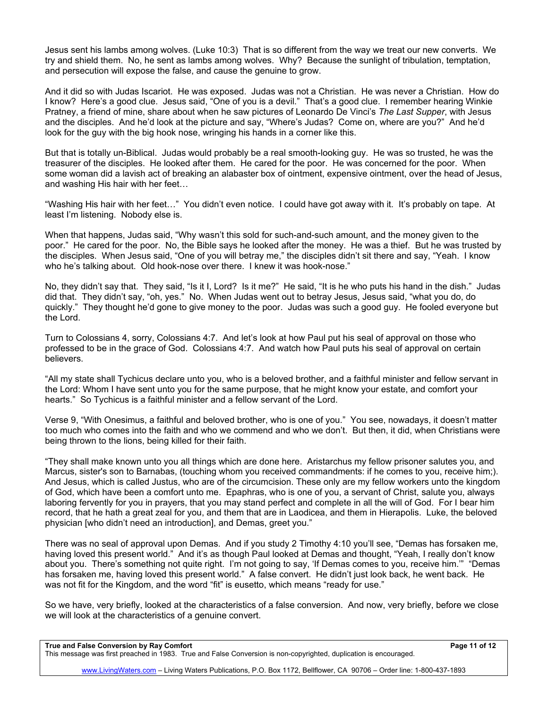Jesus sent his lambs among wolves. (Luke 10:3) That is so different from the way we treat our new converts. We try and shield them. No, he sent as lambs among wolves. Why? Because the sunlight of tribulation, temptation, and persecution will expose the false, and cause the genuine to grow.

And it did so with Judas Iscariot. He was exposed. Judas was not a Christian. He was never a Christian. How do I know? Here's a good clue. Jesus said, "One of you is a devil." That's a good clue. I remember hearing Winkie Pratney, a friend of mine, share about when he saw pictures of Leonardo De Vinci's *The Last Supper*, with Jesus and the disciples. And he'd look at the picture and say, "Where's Judas? Come on, where are you?" And he'd look for the guy with the big hook nose, wringing his hands in a corner like this.

But that is totally un-Biblical. Judas would probably be a real smooth-looking guy. He was so trusted, he was the treasurer of the disciples. He looked after them. He cared for the poor. He was concerned for the poor. When some woman did a lavish act of breaking an alabaster box of ointment, expensive ointment, over the head of Jesus, and washing His hair with her feet…

"Washing His hair with her feet…" You didn't even notice. I could have got away with it. It's probably on tape. At least I'm listening. Nobody else is.

When that happens, Judas said, "Why wasn't this sold for such-and-such amount, and the money given to the poor." He cared for the poor. No, the Bible says he looked after the money. He was a thief. But he was trusted by the disciples. When Jesus said, "One of you will betray me," the disciples didn't sit there and say, "Yeah. I know who he's talking about. Old hook-nose over there. I knew it was hook-nose."

No, they didn't say that. They said, "Is it I, Lord? Is it me?" He said, "It is he who puts his hand in the dish." Judas did that. They didn't say, "oh, yes." No. When Judas went out to betray Jesus, Jesus said, "what you do, do quickly." They thought he'd gone to give money to the poor. Judas was such a good guy. He fooled everyone but the Lord.

Turn to Colossians 4, sorry, Colossians 4:7. And let's look at how Paul put his seal of approval on those who professed to be in the grace of God. Colossians 4:7. And watch how Paul puts his seal of approval on certain believers.

"All my state shall Tychicus declare unto you, who is a beloved brother, and a faithful minister and fellow servant in the Lord: Whom I have sent unto you for the same purpose, that he might know your estate, and comfort your hearts." So Tychicus is a faithful minister and a fellow servant of the Lord.

Verse 9, "With Onesimus, a faithful and beloved brother, who is one of you." You see, nowadays, it doesn't matter too much who comes into the faith and who we commend and who we don't. But then, it did, when Christians were being thrown to the lions, being killed for their faith.

"They shall make known unto you all things which are done here. Aristarchus my fellow prisoner salutes you, and Marcus, sister's son to Barnabas, (touching whom you received commandments: if he comes to you, receive him;). And Jesus, which is called Justus, who are of the circumcision. These only are my fellow workers unto the kingdom of God, which have been a comfort unto me. Epaphras, who is one of you, a servant of Christ, salute you, always laboring fervently for you in prayers, that you may stand perfect and complete in all the will of God. For I bear him record, that he hath a great zeal for you, and them that are in Laodicea, and them in Hierapolis. Luke, the beloved physician [who didn't need an introduction], and Demas, greet you."

There was no seal of approval upon Demas. And if you study 2 Timothy 4:10 you'll see, "Demas has forsaken me, having loved this present world." And it's as though Paul looked at Demas and thought, "Yeah, I really don't know about you. There's something not quite right. I'm not going to say, 'If Demas comes to you, receive him.'" "Demas has forsaken me, having loved this present world." A false convert. He didn't just look back, he went back. He was not fit for the Kingdom, and the word "fit" is eusetto, which means "ready for use."

So we have, very briefly, looked at the characteristics of a false conversion. And now, very briefly, before we close we will look at the characteristics of a genuine convert.